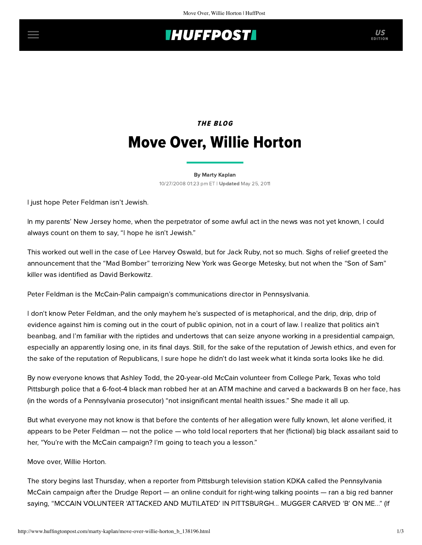## **IHUFFPOSTI** US

# **THE BLOG** Move Over, Willie Horton

[By Marty Kaplan](http://www.huffingtonpost.com/author/marty-kaplan) 10/27/2008 01:23 pm ET | Updated May 25, 2011

I just hope Peter Feldman isn't Jewish.

In my parents' New Jersey home, when the perpetrator of some awful act in the news was not yet known, I could always count on them to say, "I hope he isn't Jewish."

This worked out well in the case of Lee Harvey Oswald, but for Jack Ruby, not so much. Sighs of relief greeted the announcement that the "Mad Bomber" terrorizing New York was George Metesky, but not when the "Son of Sam" killer was identified as David Berkowitz.

Peter Feldman is the McCain-Palin campaign's communications director in Pennsyslvania.

I don't know Peter Feldman, and the only mayhem he's suspected of is metaphorical, and the drip, drip, drip of evidence against him is coming out in the court of public opinion, not in a court of law. I realize that politics ain't beanbag, and I'm familiar with the riptides and undertows that can seize anyone working in a presidential campaign, especially an apparently losing one, in its final days. Still, for the sake of the reputation of Jewish ethics, and even for the sake of the reputation of Republicans, I sure hope he didn't do last week what it kinda sorta looks like he did.

By now everyone knows that Ashley Todd, the 20-year-old McCain volunteer from College Park, Texas who told Pittsburgh police that a 6-foot-4 black man robbed her at an ATM machine and carved a backwards B on her face, has (in the words of a Pennsylvania prosecutor) "not insignificant mental health issues." She made it all up.

But what everyone may not know is that before the contents of her allegation were fully known, let alone verified, it appears to be Peter Feldman — not the police — who told local reporters that her (fictional) big black assailant said to her, "You're with the McCain campaign? I'm going to teach you a lesson."

### Move over, Willie Horton.

[The story begins last Thursday,](http://tpmelectioncentral.talkingpointsmemo.com/2008/10/mccain_aide_gave_reporters_inc.php) when a reporter from Pittsburgh television station KDKA called the Pennsylvania McCain campaign after the Drudge Report — an online conduit for right-wing talking pooints — ran a big red banner saying, "MCCAIN VOLUNTEER 'ATTACKED AND MUTILATED' IN PITTSBURGH... MUGGER CARVED 'B' ON ME..." (If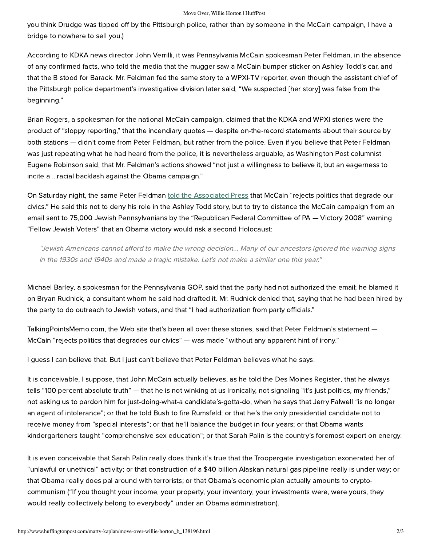#### Move Over, Willie Horton | HuffPost

you think Drudge was tipped off by the Pittsburgh police, rather than by someone in the McCain campaign, I have a bridge to nowhere to sell you.)

According to KDKA news director John Verrilli, it was Pennsylvania McCain spokesman Peter Feldman, in the absence of any confirmed facts, who told the media that the mugger saw a McCain bumper sticker on Ashley Todd's car, and that the B stood for Barack. Mr. Feldman fed the same story to a WPXI-TV reporter, even though the assistant chief of the Pittsburgh police department's investigative division later said, "We suspected [her story] was false from the beginning."

Brian Rogers, a spokesman for the national McCain campaign, claimed that the KDKA and WPXI stories were the product of "sloppy reporting," that the incendiary quotes — despite on-the-record statements about their source by both stations — didn't come from Peter Feldman, but rather from the police. Even [if you believe](http://www.talkingpointsmemo.com/archives/239888.php) that Peter Feldman was just repeating what he had heard from the police, it is nevertheless arguable, as Washington Post columnist Eugene Robinson said, that Mr. Feldman's actions showed "not just a willingness to believe it, but an eagerness to incite a ...racial backlash against the Obama campaign."

On Saturday night, the same Peter Feldman [told the Associated Press](http://www.talkingpointsmemo.com/news/2008/10/pennsylvania_gop_disavows_infl.php) that McCain "rejects politics that degrade our civics." He said this not to deny his role in the Ashley Todd story, but to try to distance the McCain campaign from an email sent to 75,000 Jewish Pennsylvanians by the "Republican Federal Committee of PA — Victory 2008" warning "Fellow Jewish Voters" that an Obama victory would risk a second Holocaust:

"Jewish Americans cannot afford to make the wrong decision... Many of our ancestors ignored the warning signs in the 1930s and 1940s and made a tragic mistake. Let's not make a similar one this year."

Michael Barley, a spokesman for the Pennsylvania GOP, said that the party had not authorized the email; he blamed it on Bryan Rudnick, a consultant whom he said had drafted it. Mr. Rudnick denied that, saying that he had been hired by the party to do outreach to Jewish voters, and that "I had authorization from party officials."

[TalkingPointsMemo.com,](http://www.talkingpointsmemo.com/archives/239970.php) the Web site that's been all over these stories, said that Peter Feldman's statement — McCain "rejects politics that degrades our civics" — was made "without any apparent hint of irony."

I guess I can believe that. But I just can't believe that Peter Feldman believes what he says.

It is conceivable, I suppose, that John McCain actually believes, [as he told the Des Moines Register](http://www.politico.com/news/stories/1008/14208.html), that he always tells "100 percent absolute truth" — that he is not winking at us ironically, not signaling "it's just politics, my friends," [not asking us to pardon him for just-doing-what-a candidate's-gotta-do, when he says that Jerry Falwell "is no longer](http://thinkprogress.org/2006/04/02/mccain-falwell/) an agent of intolerance"; or that he told Bush to [fire Rumsfeld](http://www.huffingtonpost.com/2008/09/29/still-lying-top-mccain-ai_n_130126.html); or that he's the only presidential candidate not to receive [money from "special interests"](http://blog.washingtonpost.com/fact-checker/2008/02/pinocchios_for_john_mccain.html); or that he'll [balance the budget](http://blogs.abcnews.com/liveblogging/2008/10/live-debate-b-2.html) in four years; or that Obama wants kindergarteners taught "comprehensive [sex education](http://www.nytimes.com/2008/09/11/us/politics/11checkpoint.html)"; or that Sarah Palin is the country's foremost [expert on energy.](http://voices.washingtonpost.com/fact-checker/2008/09/palin_on_energy.html)

It is even conceivable that Sarah Palin really does think it's true that the Troopergate investigation [exonerated her](http://voices.washingtonpost.com/fact-checker/2008/10/four_pinocchios_for_palin.html) of "unlawful or unethical" activity; or that construction of a \$40 billion Alaskan [natural gas pipeline](http://hosted.ap.org/dynamic/stories/D/DEBATE_FACT_CHECK?SITE=AZTUS&SECTION=HOME&TEMPLATE=DEFAULT) really is under way; or that Obama really does [pal around](http://blogs.suntimes.com/sweet/2008/10/ayers_alone_did_not_launch_oba.html) [with terrorists;](http://voices.washingtonpost.com/fact-checker/2008/10/did_obama_lie_about_ayers.html) or that Obama's economic plan actually amounts to crypto[communism \("If you thought your income, your property, your inventory, your investments were, were yours, t](http://www.huffingtonpost.com/2008/10/25/palin-obamas-tax-plans-co_n_137851.html)hey would really collectively belong to everybody" under an Obama administration).